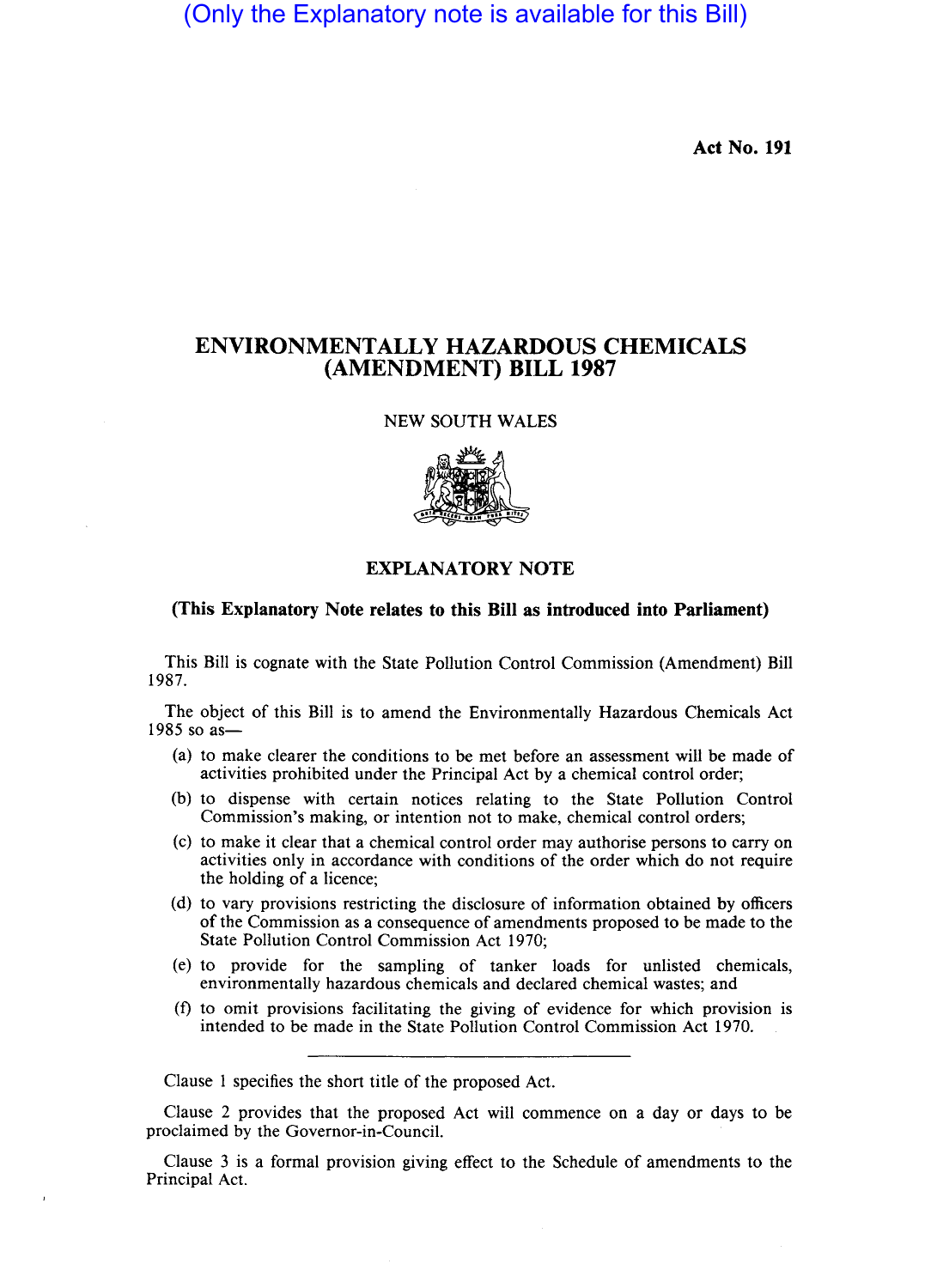(Only the Explanatory note is available for this Bill)

**Act** No. 191

## **ENVIRONMENTALLY HAZARDOUS CHEMICALS (AMENDMENT) BILL 1987**

#### NEW SOUTH WALES



### **EXPLANATORY NOTE**

#### **(This Explanatory Note relates to this Bill as introduced into Parliament)**

This Bill is cognate with the State Pollution Control Commission (Amendment) Bill 1987.

The object of this Bill is to amend the Environmentally Hazardous Chemicals Act  $1985$  so as  $-$ 

- (a) to make clearer the conditions to be met before an assessment will be made of activities prohibited under the Principal Act by a chemical control order;
- (b) to dispense with certain notices relating to the State Pollution Control Commission's making, or intention not to make, chemical control orders;
- (c) to make it clear that a chemical control order may authorise persons to carry on activities only in accordance with conditions of the order which do not require the holding of a licence;
- (d) to vary provisions restricting the disclosure of information obtained by officers of the Commission as a consequence of amendments proposed to be made to the State Pollution Control Commission Act 1970;
- (e) to provide for the sampling of tanker loads for unlisted chemicals, environmentally hazardous chemicals and declared chemical wastes; and
- (f) to omit provisions facilitating the giving of evidence for which provision is intended to be made in the State Pollution Control Commission Act 1970.

Clause 1 specifies the short title of the proposed Act.

Clause 2 provides that the proposed Act will commence on a day or days to be proclaimed by the Governor-in-Council.

Clause 3 is a formal provision giving effect to the Schedule of amendments to the Principal Act.